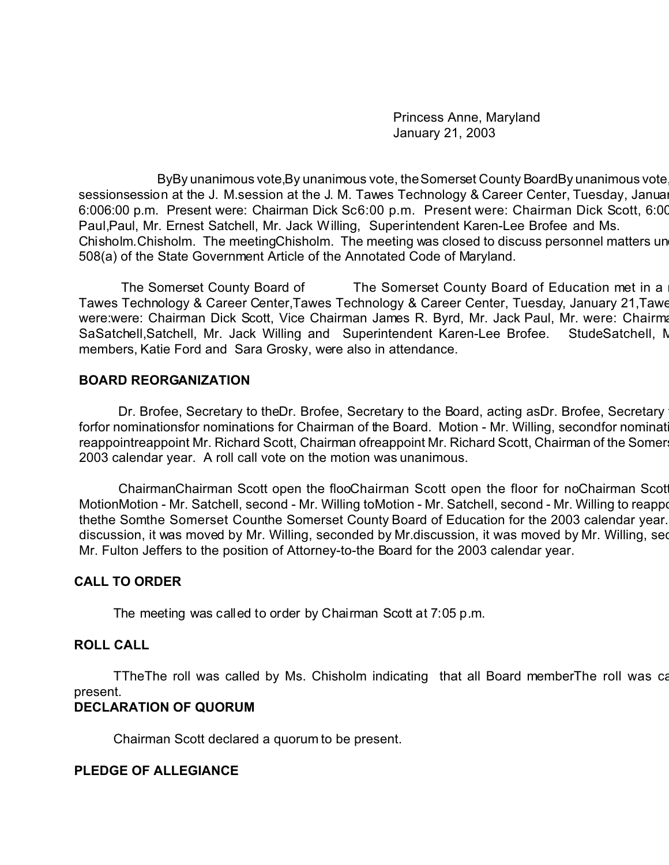Princess Anne, Maryland January 21, 2003

ByBy unanimous vote,By unanimous vote, the Somerset County BoardBy unanimous vote sessionsession at the J. M.session at the J. M. Tawes Technology & Career Center, Tuesday, January 6:006:00 p.m. Present were: Chairman Dick Sc6:00 p.m. Present were: Chairman Dick Scott, 6:00 Paul,Paul, Mr. Ernest Satchell, Mr. Jack Willing, Superintendent Karen-Lee Brofee and Ms. Chisholm. Chisholm. The meetingChisholm. The meeting was closed to discuss personnel matters un 508(a) of the State Government Article of the Annotated Code of Maryland.

The Somerset County Board of The Somerset County Board of Education met in a Tawes Technology & Career Center,Tawes Technology & Career Center, Tuesday, January 21,Tawe were:were: Chairman Dick Scott, Vice Chairman James R. Byrd, Mr. Jack Paul, Mr. were: Chairman SaSatchell, Satchell, Mr. Jack Willing and Superintendent Karen-Lee Brofee. StudeSatchell, M members, Katie Ford and Sara Grosky, were also in attendance.

### **BOARD REORGANIZATION**

Dr. Brofee, Secretary to theDr. Brofee, Secretary to the Board, acting as Dr. Brofee, Secretary forfor nominationsfor nominations for Chairman of the Board. Motion - Mr. Willing, second for nominat reappointreappoint Mr. Richard Scott, Chairman ofreappoint Mr. Richard Scott, Chairman of the Somer 2003 calendar year. A roll call vote on the motion was unanimous.

ChairmanChairman Scott open the flooChairman Scott open the floor for noChairman Scot MotionMotion - Mr. Satchell, second - Mr. Willing toMotion - Mr. Satchell, second - Mr. Willing to reappoint thethe Somthe Somerset Counthe Somerset County Board of Education for the 2003 calendar year. discussion, it was moved by Mr. Willing, seconded by Mr.discussion, it was moved by Mr. Willing, see Mr. Fulton Jeffers to the position of Attorney-to-the Board for the 2003 calendar year.

## **CALL TO ORDER**

The meeting was called to order by Chairman Scott at 7:05 p.m.

## **ROLL CALL**

TTheThe roll was called by Ms. Chisholm indicating that all Board memberThe roll was ca present.

## **DECLARATION OF QUORUM**

Chairman Scott declared a quorum to be present.

#### **PLEDGE OF ALLEGIANCE**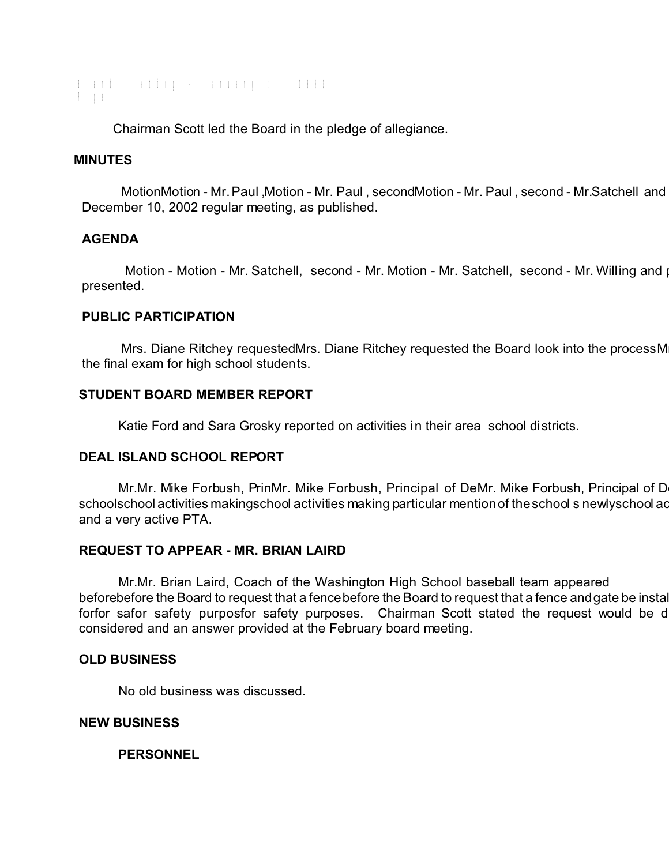Board Meeting - January 21, 2003 Page

Chairman Scott led the Board in the pledge of allegiance.

#### **MINUTES**

MotionMotion - Mr. Paul ,Motion - Mr. Paul , secondMotion - Mr. Paul , second - Mr.Satchell and December 10, 2002 regular meeting, as published.

### **AGENDA**

Motion - Motion - Mr. Satchell, second - Mr. Motion - Mr. Satchell, second - Mr. Willing and passed. presented.

### **PUBLIC PARTICIPATION**

Mrs. Diane Ritchey requestedMrs. Diane Ritchey requested the Board look into the process M the final exam for high school students.

### **STUDENT BOARD MEMBER REPORT**

Katie Ford and Sara Grosky reported on activities in their area school districts.

#### **DEAL ISLAND SCHOOL REPORT**

Mr.Mr. Mike Forbush, PrinMr. Mike Forbush, Principal of DeMr. Mike Forbush, Principal of D schoolschool activities makingschool activities making particular mention of the school s newly school activities and a very active PTA.

#### **REQUEST TO APPEAR - MR. BRIAN LAIRD**

Mr.Mr. Brian Laird, Coach of the Washington High School baseball team appeared beforebefore the Board to request that a fencebefore the Board to request that a fence and gate be instal forfor safor safety purposfor safety purposes. Chairman Scott stated the request would be d considered and an answer provided at the February board meeting.

#### **OLD BUSINESS**

No old business was discussed.

#### **NEW BUSINESS**

**PERSONNEL**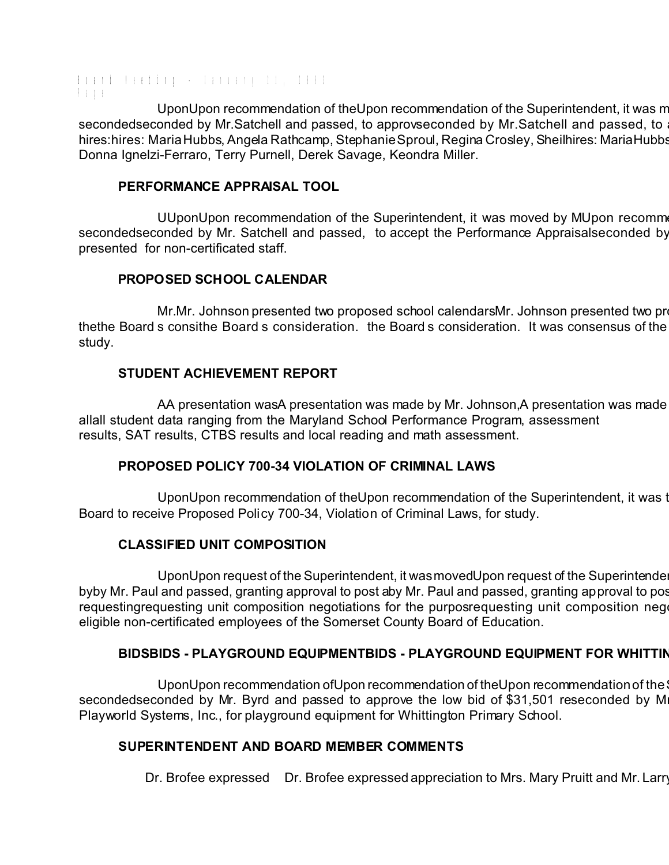Board Meeting - January 21, 2003 Page

UponUpon recommendation of theUpon recommendation of the Superintendent, it was m secondedseconded by Mr.Satchell and passed, to approvseconded by Mr.Satchell and passed, to hires: hires: Maria Hubbs, Angela Rathcamp, Stephanie Sproul, Regina Crosley, Sheilhires: Maria Hubbs Donna Ignelzi-Ferraro, Terry Purnell, Derek Savage, Keondra Miller.

### **PERFORMANCE APPRAISAL TOOL**

UUponUpon recommendation of the Superintendent, it was moved by MUpon recomm secondedseconded by Mr. Satchell and passed, to accept the Performance Appraisalseconded by presented for non-certificated staff.

## **PROPOSED SCHOOL CALENDAR**

Mr.Mr. Johnson presented two proposed school calendarsMr. Johnson presented two pr thethe Board s consithe Board s consideration. the Board s consideration. It was consensus of the study.

## **STUDENT ACHIEVEMENT REPORT**

AA presentation wasA presentation was made by Mr. Johnson, A presentation was made allall student data ranging from the Maryland School Performance Program, assessment results, SAT results, CTBS results and local reading and math assessment.

## **PROPOSED POLICY 700-34 VIOLATION OF CRIMINAL LAWS**

UponUpon recommendation of the Upon recommendation of the Superintendent, it was t Board to receive Proposed Policy 700-34, Violation of Criminal Laws, for study.

## **CLASSIFIED UNIT COMPOSITION**

UponUpon request of the Superintendent, it was moved Upon request of the Superintende byby Mr. Paul and passed, granting approval to post aby Mr. Paul and passed, granting approval to pos requestingrequesting unit composition negotiations for the purposrequesting unit composition negotiations for eligible non-certificated employees of the Somerset County Board of Education.

# **BIDSBIDS - PLAYGROUND EQUIPMENTBIDS - PLAYGROUND EQUIPMENT FOR WHITTIN**

UponUpon recommendation ofUpon recommendation of theUpon recommendation of the secondedseconded by Mr. Byrd and passed to approve the low bid of \$31,501 reseconded by M Playworld Systems, Inc., for playground equipment for Whittington Primary School.

## **SUPERINTENDENT AND BOARD MEMBER COMMENTS**

Dr. Brofee expressed Dr. Brofee expressed appreciation to Mrs. Mary Pruitt and Mr. Larry